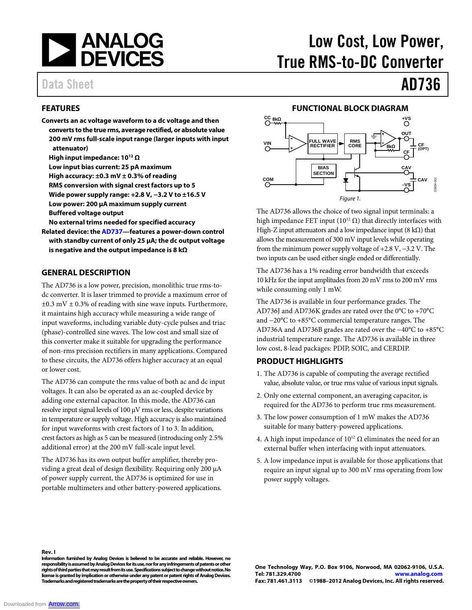

## Data Sheet **AD736**

#### **FEATURES**

- **Converts an ac voltage waveform to a dc voltage and then converts to the true rms, average rectified, or absolute value 200 mV rms full-scale input range (larger inputs with input attenuator)** 
	- **High input impedance: 1012 Ω**
	- **Low input bias current: 25 pA maximum**
	- **High accuracy: ±0.3 mV ± 0.3% of reading**
	- **RMS conversion with signal crest factors up to 5**
	- **Wide power supply range: +2.8 V, −3.2 V to ±16.5 V**
	- **Low power: 200 µA maximum supply current**
	- **Buffered voltage output**

**No external trims needed for specified accuracy** 

**Related device: the AD737—features a power-down control with standby current of only 25 μA; the dc output voltage is negative and the output impedance is 8 kΩ**

#### **GENERAL DESCRIPTION**

The AD736 is a low power, precision, monolithic true rms-todc converter. It is laser trimmed to provide a maximum error of  $\pm 0.3$  mV  $\pm$  0.3% of reading with sine wave inputs. Furthermore, it maintains high accuracy while measuring a wide range of input waveforms, including variable duty-cycle pulses and triac (phase)-controlled sine waves. The low cost and small size of this converter make it suitable for upgrading the performance of non-rms precision rectifiers in many applications. Compared to these circuits, the AD736 offers higher accuracy at an equal or lower cost.

The AD736 can compute the rms value of both ac and dc input voltages. It can also be operated as an ac-coupled device by adding one external capacitor. In this mode, the AD736 can resolve input signal levels of 100 μV rms or less, despite variations in temperature or supply voltage. High accuracy is also maintained for input waveforms with crest factors of 1 to 3. In addition, crest factors as high as 5 can be measured (introducing only 2.5% additional error) at the 200 mV full-scale input level.

The AD736 has its own output buffer amplifier, thereby providing a great deal of design flexibility. Requiring only 200 µA of power supply current, the AD736 is optimized for use in portable multimeters and other battery-powered applications.

# Low Cost, Low Power, True RMS-to-DC Converter

#### **FUNCTIONAL BLOCK DIAGRAM**



The AD736 allows the choice of two signal input terminals: a high impedance FET input ( $10^{12}$  Ω) that directly interfaces with High-Z input attenuators and a low impedance input  $(8 \text{ k}\Omega)$  that allows the measurement of 300 mV input levels while operating from the minimum power supply voltage of +2.8 V, −3.2 V. The two inputs can be used either single ended or differentially.

The AD736 has a 1% reading error bandwidth that exceeds 10 kHz for the input amplitudes from 20 mV rms to 200 mV rms while consuming only 1 mW.

The AD736 is available in four performance grades. The AD736J and AD736K grades are rated over the 0°C to +70°C and −20°C to +85°C commercial temperature ranges. The AD736A and AD736B grades are rated over the −40°C to +85°C industrial temperature range. The AD736 is available in three low cost, 8-lead packages: PDIP, SOIC, and CERDIP.

#### **PRODUCT HIGHLIGHTS**

- 1. The AD736 is capable of computing the average rectified value, absolute value, or true rms value of various input signals.
- 2. Only one external component, an averaging capacitor, is required for the AD736 to perform true rms measurement.
- 3. The low power consumption of 1 mW makes the AD736 suitable for many battery-powered applications.
- 4. A high input impedance of  $10^{12} \Omega$  eliminates the need for an external buffer when interfacing with input attenuators.
- 5. A low impedance input is available for those applications that require an input signal up to 300 mV rms operating from low power supply voltages.

**Rev. I**

**Information furnished by Analog Devices is believed to be accurate and reliable. However, no responsibility is assumed by Analog Devices for its use, nor for any infringements of patents or other rights of third parties that may result from its use. Specifications subject to change without notice. No license is granted by implication or otherwise under any patent or patent rights of Analog Devices. Trademarks and registered trademarks are the property of their respective owners.**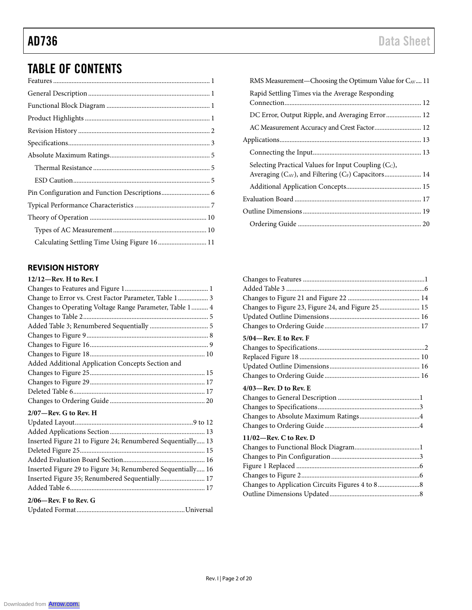## AD736 Data Sheet

## TABLE OF CONTENTS

| Calculating Settling Time Using Figure 16  11 |  |
|-----------------------------------------------|--|
|                                               |  |

### **REVISION HISTORY**

| $12/12$ —Rev. H to Rev. I                                   |
|-------------------------------------------------------------|
|                                                             |
| Change to Error vs. Crest Factor Parameter, Table 1  3      |
| Changes to Operating Voltage Range Parameter, Table 1  4    |
|                                                             |
|                                                             |
|                                                             |
|                                                             |
|                                                             |
| Added Additional Application Concepts Section and           |
|                                                             |
|                                                             |
|                                                             |
|                                                             |
| $2/07$ —Rev. G to Rev. H                                    |
|                                                             |
|                                                             |
| Inserted Figure 21 to Figure 24; Renumbered Sequentially 13 |
| $D_{\rm elatod}$ Equipment of $\overline{C}$<br>1 E         |

| Inserted Figure 29 to Figure 34; Renumbered Sequentially 16 |
|-------------------------------------------------------------|
| Inserted Figure 35; Renumbered Sequentially 17              |
|                                                             |
| $2/06$ —Rev. F to Rev. G                                    |
|                                                             |

| Changes to Figure 23, Figure 24, and Figure 25  15 |  |
|----------------------------------------------------|--|
|                                                    |  |
|                                                    |  |
| 5/04—Rev. E to Rev. F                              |  |
|                                                    |  |
|                                                    |  |
|                                                    |  |
|                                                    |  |
| $4/03$ —Rev. D to Rev. E                           |  |
|                                                    |  |
|                                                    |  |
|                                                    |  |
|                                                    |  |
| $11/02$ —Rev. C to Rev. D                          |  |
|                                                    |  |
|                                                    |  |
|                                                    |  |
|                                                    |  |
|                                                    |  |
|                                                    |  |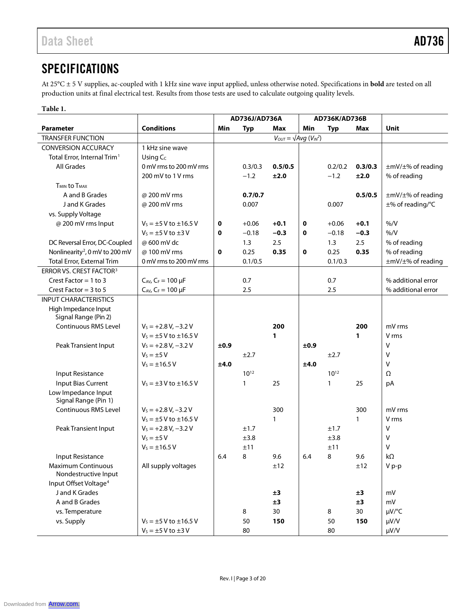## **SPECIFICATIONS**

At 25°C ± 5 V supplies, ac-coupled with 1 kHz sine wave input applied, unless otherwise noted. Specifications in **bold** are tested on all production units at final electrical test. Results from those tests are used to calculate outgoing quality levels.

#### **Table 1.**

|                                                     |                                 | AD736J/AD736A |              | AD736K/AD736B                     |      |              |         |                    |
|-----------------------------------------------------|---------------------------------|---------------|--------------|-----------------------------------|------|--------------|---------|--------------------|
| Parameter                                           | <b>Conditions</b>               | Min           | <b>Typ</b>   | Max                               | Min  | <b>Typ</b>   | Max     | Unit               |
| <b>TRANSFER FUNCTION</b>                            |                                 |               |              | $V_{OUT} = \sqrt{Avg (V_{IN}^2)}$ |      |              |         |                    |
| <b>CONVERSION ACCURACY</b>                          | 1 kHz sine wave                 |               |              |                                   |      |              |         |                    |
| Total Error, Internal Trim <sup>1</sup>             | Using $C_c$                     |               |              |                                   |      |              |         |                    |
| <b>All Grades</b>                                   | 0 mV rms to 200 mV rms          |               | 0.3/0.3      | 0.5/0.5                           |      | 0.2/0.2      | 0.3/0.3 | ±mV/±% of reading  |
|                                                     | 200 mV to 1 V rms               |               | $-1.2$       | ±2.0                              |      | $-1.2$       | ±2.0    | % of reading       |
| <b>T<sub>MIN</sub></b> to T <sub>MAX</sub>          |                                 |               |              |                                   |      |              |         |                    |
| A and B Grades                                      | @ 200 mV rms                    |               | 0.7/0.7      |                                   |      |              | 0.5/0.5 | ±mV/±% of reading  |
| J and K Grades                                      | @ 200 mV rms                    |               | 0.007        |                                   |      | 0.007        |         | ±% of reading/°C   |
| vs. Supply Voltage                                  |                                 |               |              |                                   |      |              |         |                    |
| @ 200 mV rms Input                                  | $V_5 = \pm 5$ V to $\pm 16.5$ V | 0             | $+0.06$      | $+0.1$                            | 0    | $+0.06$      | $+0.1$  | % /V               |
|                                                     | $V_s = \pm 5$ V to $\pm 3$ V    | 0             | $-0.18$      | $-0.3$                            | 0    | $-0.18$      | $-0.3$  | % /V               |
| DC Reversal Error, DC-Coupled                       | @ 600 mV dc                     |               | 1.3          | 2.5                               |      | 1.3          | 2.5     | % of reading       |
| Nonlinearity <sup>2</sup> , 0 mV to 200 mV          | @100 mV rms                     | 0             | 0.25         | 0.35                              | 0    | 0.25         | 0.35    | % of reading       |
| Total Error, External Trim                          | 0 mV rms to 200 mV rms          |               | 0.1/0.5      |                                   |      | 0.1/0.3      |         | ±mV/±% of reading  |
| ERROR VS. CREST FACTOR <sup>3</sup>                 |                                 |               |              |                                   |      |              |         |                    |
| Crest Factor = $1$ to $3$                           | $C_{AV}$ , $C_F = 100 \mu F$    |               | 0.7          |                                   |      | 0.7          |         | % additional error |
| Crest Factor = $3$ to $5$                           | $C_{AV}$ , $C_F = 100 \mu F$    |               | 2.5          |                                   |      | 2.5          |         | % additional error |
| <b>INPUT CHARACTERISTICS</b>                        |                                 |               |              |                                   |      |              |         |                    |
| High Impedance Input                                |                                 |               |              |                                   |      |              |         |                    |
| Signal Range (Pin 2)                                |                                 |               |              |                                   |      |              |         |                    |
| <b>Continuous RMS Level</b>                         | $V_s = +2.8 V, -3.2 V$          |               |              | 200                               |      |              | 200     | mV rms             |
|                                                     | $V_5 = \pm 5$ V to $\pm 16.5$ V |               |              | 1                                 |      |              | 1       | V rms              |
| Peak Transient Input                                | $V_s = +2.8 V, -3.2 V$          | ±0.9          |              |                                   | ±0.9 |              |         | $\vee$             |
|                                                     | $V_s = \pm 5 V$                 |               | ±2.7         |                                   |      | ±2.7         |         | V                  |
|                                                     | $V_s = \pm 16.5 V$              | ±4.0          |              |                                   | ±4.0 |              |         | V                  |
| Input Resistance                                    |                                 |               | $10^{12}$    |                                   |      | $10^{12}$    |         | Ω                  |
| <b>Input Bias Current</b>                           | $V_s = \pm 3$ V to $\pm 16.5$ V |               | $\mathbf{1}$ | 25                                |      | $\mathbf{1}$ | 25      | pA                 |
| Low Impedance Input                                 |                                 |               |              |                                   |      |              |         |                    |
| Signal Range (Pin 1)<br><b>Continuous RMS Level</b> | $V_s = +2.8 V, -3.2 V$          |               |              | 300                               |      |              | 300     | mV rms             |
|                                                     | $V_s = \pm 5$ V to $\pm 16.5$ V |               |              | $\mathbf{1}$                      |      |              | 1       | V rms              |
| Peak Transient Input                                | $V_s = +2.8 V, -3.2 V$          |               | ±1.7         |                                   |      | ±1.7         |         | $\vee$             |
|                                                     | $V_s = \pm 5 V$                 |               | ±3.8         |                                   |      | ±3.8         |         | V                  |
|                                                     | $V_s = \pm 16.5 V$              |               | ±11          |                                   |      | ±11          |         | V                  |
| Input Resistance                                    |                                 | 6.4           | 8            | 9.6                               | 6.4  | 8            | 9.6     | kΩ                 |
| <b>Maximum Continuous</b>                           | All supply voltages             |               |              | ±12                               |      |              | ±12     | V p-p              |
| Nondestructive Input                                |                                 |               |              |                                   |      |              |         |                    |
| Input Offset Voltage <sup>4</sup>                   |                                 |               |              |                                   |      |              |         |                    |
| J and K Grades                                      |                                 |               |              | ±3                                |      |              | ±3      | mV                 |
| A and B Grades                                      |                                 |               |              | ±3                                |      |              | ±3      | mV                 |
| vs. Temperature                                     |                                 |               | 8            | 30                                |      | 8            | 30      | µV/°C              |
| vs. Supply                                          | $V_s = \pm 5$ V to $\pm 16.5$ V |               | 50           | 150                               |      | 50           | 150     | µV/V               |
|                                                     | $V_s = \pm 5$ V to $\pm 3$ V    |               | 80           |                                   |      | 80           |         | µV/V               |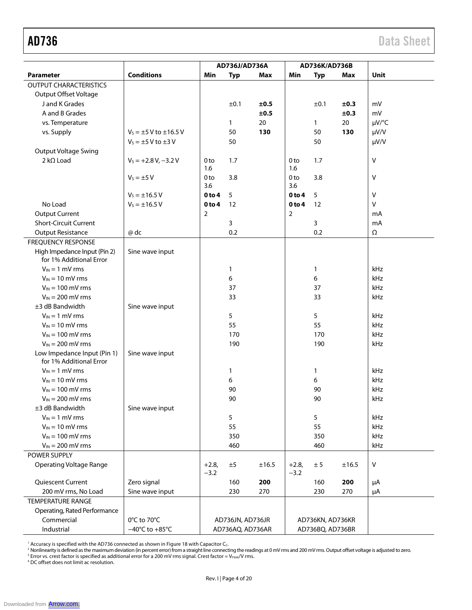|                                                         |                                    | AD736J/AD736A     |                  | AD736K/AD736B |                   |                  |            |            |
|---------------------------------------------------------|------------------------------------|-------------------|------------------|---------------|-------------------|------------------|------------|------------|
| Parameter                                               | <b>Conditions</b>                  | Min               | <b>Typ</b>       | <b>Max</b>    | Min               | <b>Typ</b>       | <b>Max</b> | Unit       |
| <b>OUTPUT CHARACTERISTICS</b>                           |                                    |                   |                  |               |                   |                  |            |            |
| <b>Output Offset Voltage</b>                            |                                    |                   |                  |               |                   |                  |            |            |
| J and K Grades                                          |                                    |                   | ±0.1             | ±0.5          |                   | ±0.1             | ±0.3       | mV         |
| A and B Grades                                          |                                    |                   |                  | ±0.5          |                   |                  | ±0.3       | mV         |
| vs. Temperature                                         |                                    |                   | 1                | 20            |                   | 1                | 20         | µV/°C      |
| vs. Supply                                              | $V_5 = \pm 5$ V to $\pm 16.5$ V    |                   | 50               | 130           |                   | 50               | 130        | µV/V       |
|                                                         | $V_s = \pm 5$ V to $\pm 3$ V       |                   | 50               |               |                   | 50               |            | µV/V       |
| <b>Output Voltage Swing</b>                             |                                    |                   |                  |               |                   |                  |            |            |
| $2 k\Omega$ Load                                        | $V_s = +2.8 V, -3.2 V$             | 0 <sub>to</sub>   | 1.7              |               | 0 <sub>to</sub>   | 1.7              |            | Λ          |
|                                                         |                                    | 1.6               |                  |               | 1.6               |                  |            |            |
|                                                         | $V_s = \pm 5 V$                    | 0 <sub>to</sub>   | 3.8              |               | 0 <sub>to</sub>   | 3.8              |            | ٧          |
|                                                         |                                    | 3.6               |                  |               | 3.6               |                  |            |            |
|                                                         | $V_S = \pm 16.5 V$                 | 0 <sub>to 4</sub> | 5                |               | 0 <sub>to 4</sub> | 5                |            | v          |
| No Load                                                 | $V_s = \pm 16.5 V$                 | 0 to 4            | 12               |               | 0 <sub>to 4</sub> | 12               |            | v          |
| <b>Output Current</b>                                   |                                    | $\overline{2}$    |                  |               | $\overline{2}$    |                  |            | mA         |
| <b>Short-Circuit Current</b>                            |                                    |                   | 3                |               |                   | 3                |            | mA         |
| <b>Output Resistance</b>                                | @ dc                               |                   | 0.2              |               |                   | 0.2              |            | $\Omega$   |
| <b>FREQUENCY RESPONSE</b>                               |                                    |                   |                  |               |                   |                  |            |            |
| High Impedance Input (Pin 2)<br>for 1% Additional Error | Sine wave input                    |                   |                  |               |                   |                  |            |            |
| $V_{IN} = 1$ mV rms                                     |                                    |                   | 1                |               |                   | $\mathbf{1}$     |            | kHz        |
| $V_{IN}$ = 10 mV rms                                    |                                    |                   | 6                |               |                   | 6                |            | kHz        |
| $V_{IN}$ = 100 mV rms                                   |                                    |                   | 37               |               |                   | 37               |            | kHz        |
| $V_{IN} = 200$ mV rms                                   |                                    |                   | 33               |               |                   | 33               |            | kHz        |
| $±3$ dB Bandwidth                                       | Sine wave input                    |                   |                  |               |                   |                  |            |            |
| $V_{IN} = 1$ mV rms                                     |                                    |                   | 5                |               |                   | 5                |            | kHz        |
| $V_{IN}$ = 10 mV rms                                    |                                    |                   | 55               |               |                   | 55               |            | kHz        |
| $V_{IN}$ = 100 mV rms                                   |                                    |                   | 170              |               |                   | 170              |            | kHz        |
| $V_{IN}$ = 200 mV rms                                   |                                    |                   | 190              |               |                   | 190              |            | kHz        |
| Low Impedance Input (Pin 1)                             | Sine wave input                    |                   |                  |               |                   |                  |            |            |
| for 1% Additional Error                                 |                                    |                   |                  |               |                   |                  |            |            |
| $V_{IN} = 1$ mV rms                                     |                                    |                   | $\mathbf{1}$     |               |                   | 1                |            | kHz        |
| $V_{IN} = 10$ mV rms                                    |                                    |                   | 6                |               |                   | 6                |            | kHz        |
| $V_{IN}$ = 100 mV rms                                   |                                    |                   | 90               |               |                   | 90               |            | kHz        |
| $V_{IN}$ = 200 mV rms                                   |                                    |                   | 90               |               |                   | 90               |            | kHz        |
| ±3 dB Bandwidth                                         | Sine wave input                    |                   |                  |               |                   |                  |            |            |
| $V_{IN} = 1$ mV rms                                     |                                    |                   | 5                |               |                   | 5                |            | kHz        |
| $V_{IN} = 10$ mV rms                                    |                                    |                   | 55               |               |                   | 55               |            | kHz        |
| $V_{IN}$ = 100 mV rms                                   |                                    |                   | 350              |               |                   | 350              |            | kHz        |
| $V_{IN}$ = 200 mV rms                                   |                                    |                   | 460              |               |                   | 460              |            | <b>kHz</b> |
| POWER SUPPLY                                            |                                    |                   |                  |               |                   |                  |            |            |
| <b>Operating Voltage Range</b>                          |                                    | $+2.8,$<br>$-3.2$ | ±5               | ±16.5         | $+2.8,$<br>$-3.2$ | ± 5              | ±16.5      | V          |
| Quiescent Current                                       | Zero signal                        |                   | 160              | 200           |                   | 160              | 200        | μA         |
| 200 mV rms, No Load                                     | Sine wave input                    |                   | 230              | 270           |                   | 230              | 270        | μA         |
| <b>TEMPERATURE RANGE</b>                                |                                    |                   |                  |               |                   |                  |            |            |
| Operating, Rated Performance                            |                                    |                   |                  |               |                   |                  |            |            |
| Commercial                                              | 0°C to 70°C                        |                   | AD736JN, AD736JR |               |                   | AD736KN, AD736KR |            |            |
| Industrial                                              | $-40^{\circ}$ C to $+85^{\circ}$ C |                   | AD736AQ, AD736AR |               |                   | AD736BQ, AD736BR |            |            |

' Accuracy is specified with the AD736 connected as shown in Figure 18 with Capacitor C<sub>c</sub>.<br>? Nonlinearity is defined as the maximum deviation (in percent error) from a straight line connecting the readings at 0 mV rms and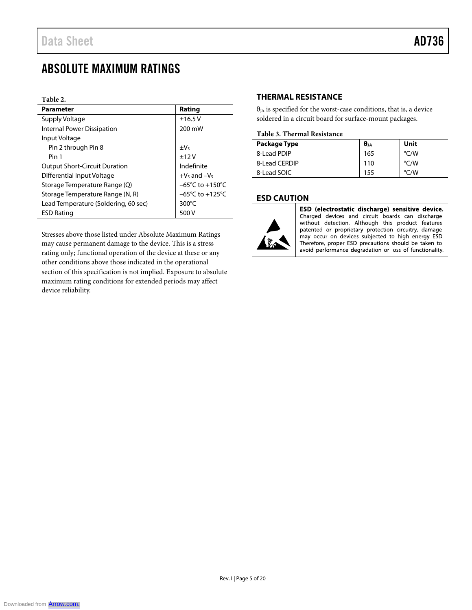## ABSOLUTE MAXIMUM RATINGS

#### **Table 2.**

| <b>Parameter</b>                     | Rating                              |
|--------------------------------------|-------------------------------------|
| Supply Voltage                       | ±16.5V                              |
| <b>Internal Power Dissipation</b>    | 200 mW                              |
| Input Voltage                        |                                     |
| Pin 2 through Pin 8                  | $\pm V_5$                           |
| Pin 1                                | $+12V$                              |
| <b>Output Short-Circuit Duration</b> | Indefinite                          |
| Differential Input Voltage           | $+V_5$ and $-V_5$                   |
| Storage Temperature Range (Q)        | $-65^{\circ}$ C to $+150^{\circ}$ C |
| Storage Temperature Range (N, R)     | $-65^{\circ}$ C to $+125^{\circ}$ C |
| Lead Temperature (Soldering, 60 sec) | $300^{\circ}$ C                     |
| <b>ESD Rating</b>                    | 500 V                               |

Stresses above those listed under Absolute Maximum Ratings may cause permanent damage to the device. This is a stress rating only; functional operation of the device at these or any other conditions above those indicated in the operational section of this specification is not implied. Exposure to absolute maximum rating conditions for extended periods may affect device reliability.

#### **THERMAL RESISTANCE**

 $\theta_{JA}$  is specified for the worst-case conditions, that is, a device soldered in a circuit board for surface-mount packages.

#### **Table 3. Thermal Resistance**

| Package Type  | $\theta$ JA | Unit               |
|---------------|-------------|--------------------|
| 8-Lead PDIP   | 165         | $\degree$ C/W      |
| 8-Lead CERDIP | 110         | $\rm ^{\circ}$ C/W |
| 8-Lead SOIC   | 155         | $\rm ^{\circ}$ C/W |

#### **ESD CAUTION**



ESD (electrostatic discharge) sensitive device. Charged devices and circuit boards can discharge<br>without detection. Although this product features patented or proprietary protection circuitry, damage may occur on devices subjected to high energy ESD. Therefore, proper ESD precautions should be taken to avoid performance degradation or loss of functionality.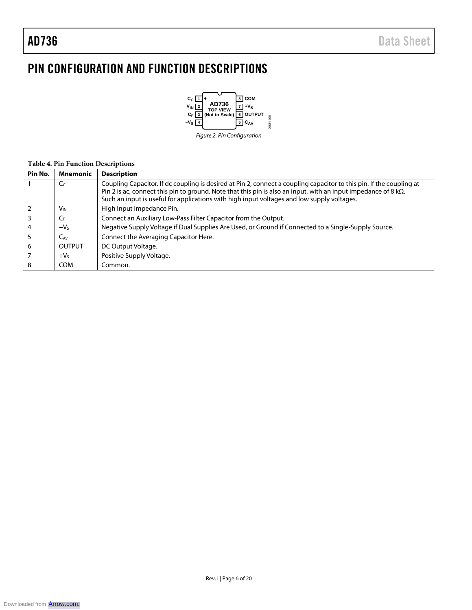## PIN CONFIGURATION AND FUNCTION DESCRIPTIONS



#### **Table 4. Pin Function Descriptions**

| Pin No. | Mnemonic              | <b>Description</b>                                                                                                                                                                                                                                                                                                                            |
|---------|-----------------------|-----------------------------------------------------------------------------------------------------------------------------------------------------------------------------------------------------------------------------------------------------------------------------------------------------------------------------------------------|
|         | C <sub>C</sub>        | Coupling Capacitor. If dc coupling is desired at Pin 2, connect a coupling capacitor to this pin. If the coupling at<br>Pin 2 is ac, connect this pin to ground. Note that this pin is also an input, with an input impedance of 8 k $\Omega$ .<br>Such an input is useful for applications with high input voltages and low supply voltages. |
|         | <b>V<sub>IN</sub></b> | High Input Impedance Pin.                                                                                                                                                                                                                                                                                                                     |
|         | $C_{F}$               | Connect an Auxiliary Low-Pass Filter Capacitor from the Output.                                                                                                                                                                                                                                                                               |
|         | $-VS$                 | Negative Supply Voltage if Dual Supplies Are Used, or Ground if Connected to a Single-Supply Source.                                                                                                                                                                                                                                          |
|         | $C_{AV}$              | Connect the Averaging Capacitor Here.                                                                                                                                                                                                                                                                                                         |
| 6       | OUTPUT                | DC Output Voltage.                                                                                                                                                                                                                                                                                                                            |
|         | $+VS$                 | Positive Supply Voltage.                                                                                                                                                                                                                                                                                                                      |
|         | <b>COM</b>            | Common.                                                                                                                                                                                                                                                                                                                                       |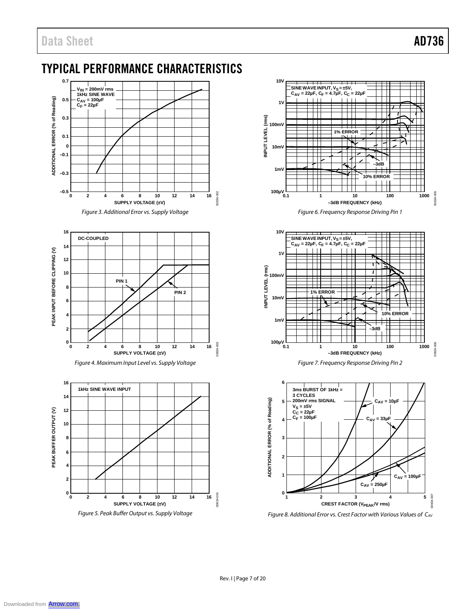## TYPICAL PERFORMANCE CHARACTERISTICS













*Figure 6. Frequency Response Driving Pin 1*





*Figure 8. Additional Error vs. Crest Factor with Various Values of CAV*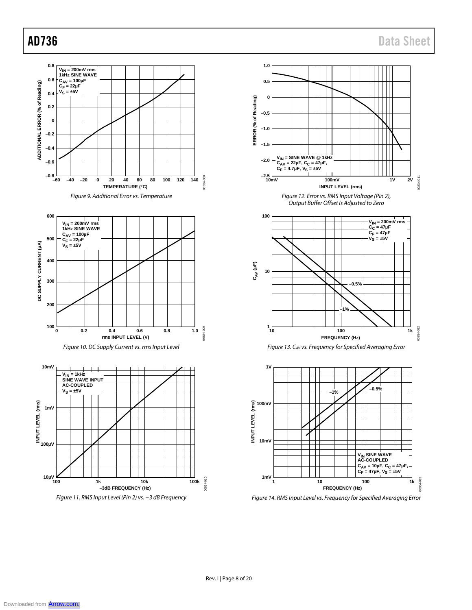









*Figure 14. RMS Input Level vs. Frequency for Specified Averaging Error*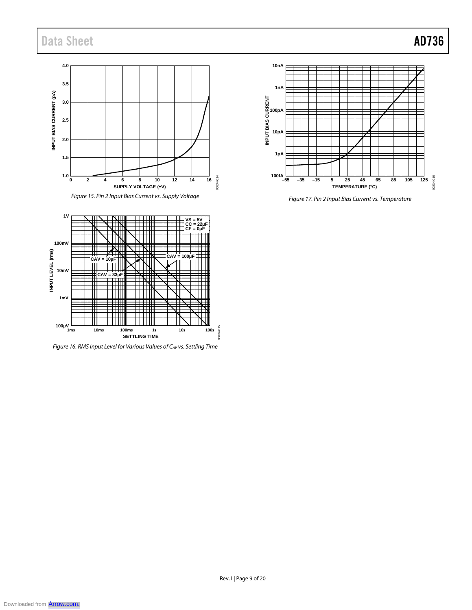## Data Sheet **AD736**

### **4.0 3.5** INPUT BIAS CURRENT (pA) **INPUT BIAS CURRENT (pA) 3.0 2.5 2.0 1.5 1.0** 00834-014 00834-014 **0 2 4 6 8 10 12 14 16 SUPPLY VOLTAGE (±V)**

*Figure 15. Pin 2 Input Bias Current vs. Supply Voltage*



*Figure 17. Pin 2 Input Bias Current vs. Temperature*



*Figure 16. RMS Input Level for Various Values of CAV vs. Settling Time*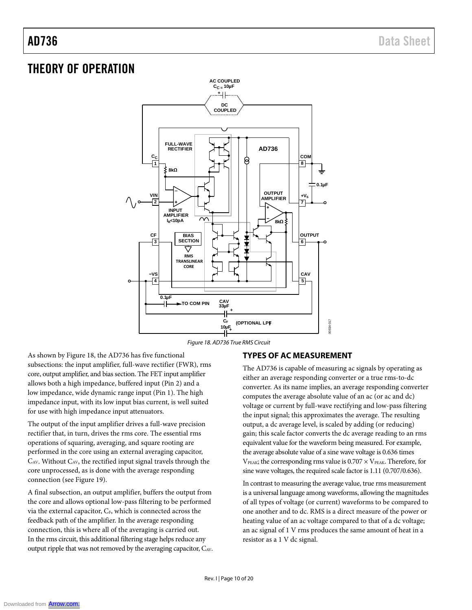## THEORY OF OPERATION



*Figure 18. AD736 True RMS Circuit*

As shown by Figure 18, the AD736 has five functional subsections: the input amplifier, full-wave rectifier (FWR), rms core, output amplifier, and bias section. The FET input amplifier allows both a high impedance, buffered input (Pin 2) and a low impedance, wide dynamic range input (Pin 1). The high impedance input, with its low input bias current, is well suited for use with high impedance input attenuators.

The output of the input amplifier drives a full-wave precision rectifier that, in turn, drives the rms core. The essential rms operations of squaring, averaging, and square rooting are performed in the core using an external averaging capacitor, CAV. Without CAV, the rectified input signal travels through the core unprocessed, as is done with the average responding connection (see Figure 19).

A final subsection, an output amplifier, buffers the output from the core and allows optional low-pass filtering to be performed via the external capacitor, CF, which is connected across the feedback path of the amplifier. In the average responding connection, this is where all of the averaging is carried out. In the rms circuit, this additional filtering stage helps reduce any output ripple that was not removed by the averaging capacitor, CAV.

### **TYPES OF AC MEASUREMENT**

The AD736 is capable of measuring ac signals by operating as either an average responding converter or a true rms-to-dc converter. As its name implies, an average responding converter computes the average absolute value of an ac (or ac and dc) voltage or current by full-wave rectifying and low-pass filtering the input signal; this approximates the average. The resulting output, a dc average level, is scaled by adding (or reducing) gain; this scale factor converts the dc average reading to an rms equivalent value for the waveform being measured. For example, the average absolute value of a sine wave voltage is 0.636 times  $V_{\text{PEAK}}$ ; the corresponding rms value is 0.707  $\times$  V<sub>PEAK</sub>. Therefore, for sine wave voltages, the required scale factor is 1.11 (0.707/0.636).

In contrast to measuring the average value, true rms measurement is a universal language among waveforms, allowing the magnitudes of all types of voltage (or current) waveforms to be compared to one another and to dc. RMS is a direct measure of the power or heating value of an ac voltage compared to that of a dc voltage; an ac signal of 1 V rms produces the same amount of heat in a resistor as a 1 V dc signal.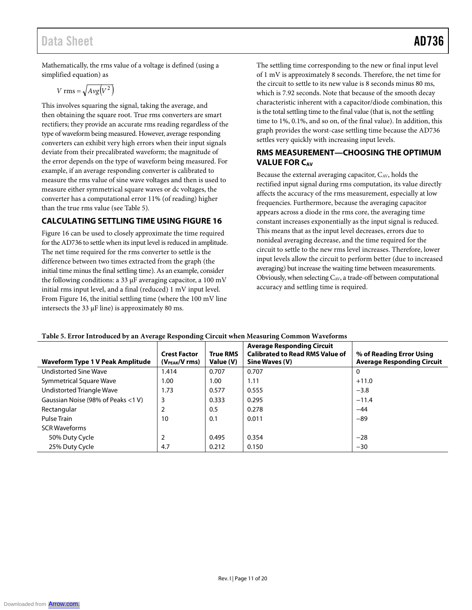## Data Sheet **AD736**

Mathematically, the rms value of a voltage is defined (using a simplified equation) as

$$
V \text{ rms} = \sqrt{Avg(V^2)}
$$

This involves squaring the signal, taking the average, and then obtaining the square root. True rms converters are smart rectifiers; they provide an accurate rms reading regardless of the type of waveform being measured. However, average responding converters can exhibit very high errors when their input signals deviate from their precalibrated waveform; the magnitude of the error depends on the type of waveform being measured. For example, if an average responding converter is calibrated to measure the rms value of sine wave voltages and then is used to measure either symmetrical square waves or dc voltages, the converter has a computational error 11% (of reading) higher than the true rms value (see Table 5).

### **CALCULATING SETTLING TIME USING FIGURE 16**

Figure 16 can be used to closely approximate the time required for the AD736 to settle when its input level is reduced in amplitude. The net time required for the rms converter to settle is the difference between two times extracted from the graph (the initial time minus the final settling time). As an example, consider the following conditions: a 33 µF averaging capacitor, a 100 mV initial rms input level, and a final (reduced) 1 mV input level. From Figure 16, the initial settling time (where the 100 mV line intersects the 33 µF line) is approximately 80 ms.

The settling time corresponding to the new or final input level of 1 mV is approximately 8 seconds. Therefore, the net time for the circuit to settle to its new value is 8 seconds minus 80 ms, which is 7.92 seconds. Note that because of the smooth decay characteristic inherent with a capacitor/diode combination, this is the total settling time to the final value (that is, not the settling time to 1%, 0.1%, and so on, of the final value). In addition, this graph provides the worst-case settling time because the AD736 settles very quickly with increasing input levels.

#### **RMS MEASUREMENT—CHOOSING THE OPTIMUM VALUE FOR CAV**

Because the external averaging capacitor,  $C_{AV}$ , holds the rectified input signal during rms computation, its value directly affects the accuracy of the rms measurement, especially at low frequencies. Furthermore, because the averaging capacitor appears across a diode in the rms core, the averaging time constant increases exponentially as the input signal is reduced. This means that as the input level decreases, errors due to nonideal averaging decrease, and the time required for the circuit to settle to the new rms level increases. Therefore, lower input levels allow the circuit to perform better (due to increased averaging) but increase the waiting time between measurements. Obviously, when selecting  $C_{AV}$ , a trade-off between computational accuracy and settling time is required.

| Waveform Type 1 V Peak Amplitude   | <b>Crest Factor</b><br>$(V_{PEAK}/V$ rms) | <b>True RMS</b><br>Value (V) | <b>Average Responding Circuit</b><br><b>Calibrated to Read RMS Value of</b><br>Sine Waves (V) | % of Reading Error Using<br><b>Average Responding Circuit</b> |
|------------------------------------|-------------------------------------------|------------------------------|-----------------------------------------------------------------------------------------------|---------------------------------------------------------------|
| <b>Undistorted Sine Wave</b>       | 1.414                                     | 0.707                        | 0.707                                                                                         | 0                                                             |
| Symmetrical Square Wave            | 1.00                                      | 1.00                         | 1.11                                                                                          | $+11.0$                                                       |
| Undistorted Triangle Wave          | 1.73                                      | 0.577                        | 0.555                                                                                         | $-3.8$                                                        |
| Gaussian Noise (98% of Peaks <1 V) | 3                                         | 0.333                        | 0.295                                                                                         | $-11.4$                                                       |
| Rectangular                        | 2                                         | 0.5                          | 0.278                                                                                         | $-44$                                                         |
| Pulse Train                        | 10                                        | 0.1                          | 0.011                                                                                         | $-89$                                                         |
| <b>SCR Waveforms</b>               |                                           |                              |                                                                                               |                                                               |
| 50% Duty Cycle                     | 2                                         | 0.495                        | 0.354                                                                                         | $-28$                                                         |
| 25% Duty Cycle                     | 4.7                                       | 0.212                        | 0.150                                                                                         | $-30$                                                         |

#### **Table 5. Error Introduced by an Average Responding Circuit when Measuring Common Waveforms**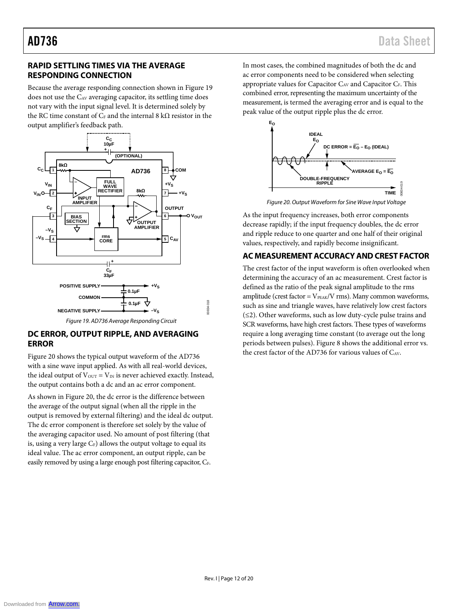### **RAPID SETTLING TIMES VIA THE AVERAGE RESPONDING CONNECTION**

Because the average responding connection shown in Figure 19 does not use the CAV averaging capacitor, its settling time does not vary with the input signal level. It is determined solely by the RC time constant of  $C_F$  and the internal 8 k $\Omega$  resistor in the output amplifier's feedback path.



#### *Figure 19. AD736 Average Responding Circuit*

#### **DC ERROR, OUTPUT RIPPLE, AND AVERAGING ERROR**

Figure 20 shows the typical output waveform of the AD736 with a sine wave input applied. As with all real-world devices, the ideal output of  $V_{\text{OUT}} = V_{\text{IN}}$  is never achieved exactly. Instead, the output contains both a dc and an ac error component.

As shown in Figure 20, the dc error is the difference between the average of the output signal (when all the ripple in the output is removed by external filtering) and the ideal dc output. The dc error component is therefore set solely by the value of the averaging capacitor used. No amount of post filtering (that is, using a very large  $C_F$ ) allows the output voltage to equal its ideal value. The ac error component, an output ripple, can be easily removed by using a large enough post filtering capacitor, CF.

In most cases, the combined magnitudes of both the dc and ac error components need to be considered when selecting appropriate values for Capacitor C<sub>AV</sub> and Capacitor C<sub>F</sub>. This combined error, representing the maximum uncertainty of the measurement, is termed the averaging error and is equal to the peak value of the output ripple plus the dc error.



*Figure 20. Output Waveform for Sine Wave Input Voltage*

As the input frequency increases, both error components decrease rapidly; if the input frequency doubles, the dc error and ripple reduce to one quarter and one half of their original values, respectively, and rapidly become insignificant.

#### **AC MEASUREMENT ACCURACY AND CREST FACTOR**

The crest factor of the input waveform is often overlooked when determining the accuracy of an ac measurement. Crest factor is defined as the ratio of the peak signal amplitude to the rms amplitude (crest factor =  $V_{PEAK}/V$  rms). Many common waveforms, such as sine and triangle waves, have relatively low crest factors (≤2). Other waveforms, such as low duty-cycle pulse trains and SCR waveforms, have high crest factors. These types of waveforms require a long averaging time constant (to average out the long periods between pulses). Figure 8 shows the additional error vs. the crest factor of the AD736 for various values of CAV.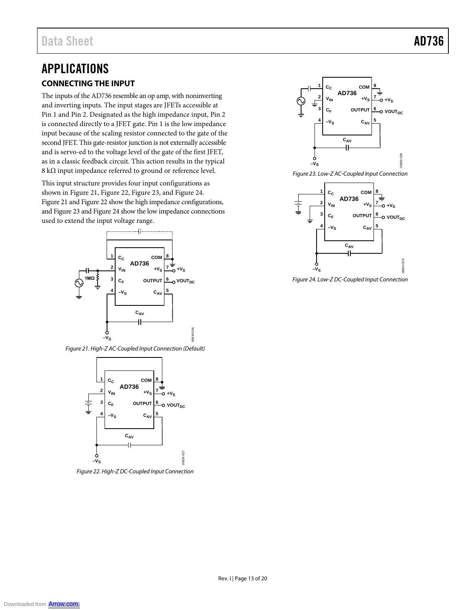## APPLICATIONS **CONNECTING THE INPUT**

The inputs of the AD736 resemble an op amp, with noninverting and inverting inputs. The input stages are JFETs accessible at Pin 1 and Pin 2. Designated as the high impedance input, Pin 2 is connected directly to a JFET gate. Pin 1 is the low impedance input because of the scaling resistor connected to the gate of the second JFET. This gate-resistor junction is not externally accessible and is servo-ed to the voltage level of the gate of the first JFET, as in a classic feedback circuit. This action results in the typical 8 kΩ input impedance referred to ground or reference level.

This input structure provides four input configurations as shown in Figure 21, Figure 22, Figure 23, and Figure 24. Figure 21 and Figure 22 show the high impedance configurations, and Figure 23 and Figure 24 show the low impedance connections used to extend the input voltage range.



*Figure 21. High-Z AC-Coupled Input Connection (Default)*



*Figure 22. High-Z DC-Coupled Input Connection*





*Figure 24. Low-Z DC-Coupled Input Connection*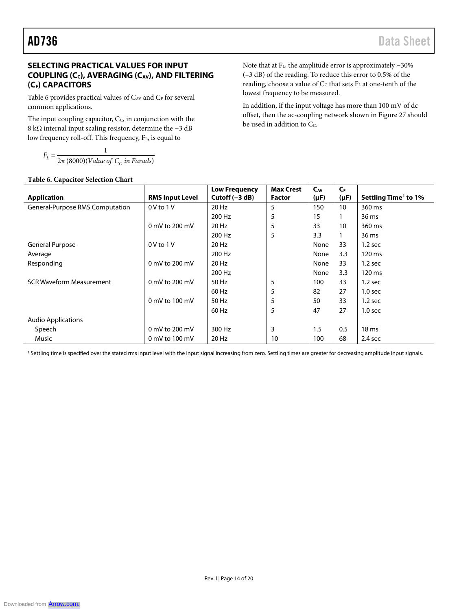### **SELECTING PRACTICAL VALUES FOR INPUT COUPLING (CC), AVERAGING (CAV), AND FILTERING (CF) CAPACITORS**

Table 6 provides practical values of  $C_{AV}$  and  $C_{F}$  for several common applications.

The input coupling capacitor,  $C_c$ , in conjunction with the 8 kΩ internal input scaling resistor, determine the −3 dB low frequency roll-off. This frequency, F<sub>L</sub>, is equal to

2π (8000)(Value of  $\mathit{C}_\mathit{C}$  in Farads) 1  $F_L = \frac{1}{2\pi (8000)(Value of C_c in Farads)}$  $E_L = \frac{1}{2\pi (8000)(Value of C_C)}$ 

#### **Table 6. Capacitor Selection Chart**

Note that at FL, the amplitude error is approximately −30% (**–**3 dB) of the reading. To reduce this error to 0.5% of the reading, choose a value of Cc that sets FL at one-tenth of the lowest frequency to be measured.

In addition, if the input voltage has more than 100 mV of dc offset, then the ac-coupling network shown in Figure 27 should be used in addition to  $C_c$ .

|                                        |                          | Low Frequency    | <b>Max Crest</b> | $C_{AV}$  | $C_{F}$   |                                  |
|----------------------------------------|--------------------------|------------------|------------------|-----------|-----------|----------------------------------|
| <b>Application</b>                     | <b>RMS Input Level</b>   | Cutoff $(-3 dB)$ | <b>Factor</b>    | $(\mu F)$ | $(\mu F)$ | Settling Time <sup>1</sup> to 1% |
| <b>General-Purpose RMS Computation</b> | $0V$ to $1V$             | 20 Hz            | 5                | 150       | 10        | 360 ms                           |
|                                        |                          | 200 Hz           | 5                | 15        |           | 36 ms                            |
|                                        | 0 mV to 200 mV           | 20 Hz            | 5                | 33        | 10        | 360 ms                           |
|                                        |                          | 200 Hz           | 5                | 3.3       |           | 36 ms                            |
| <b>General Purpose</b>                 | $0V$ to $1V$             | 20 Hz            |                  | None      | 33        | $1.2$ sec                        |
| Average                                |                          | 200 Hz           |                  | None      | 3.3       | 120 ms                           |
| Responding                             | 0 mV to 200 mV           | 20 Hz            |                  | None      | 33        | $1.2$ sec                        |
|                                        |                          | 200 Hz           |                  | None      | 3.3       | 120 ms                           |
| <b>SCR Waveform Measurement</b>        | $0 \text{ mV}$ to 200 mV | 50 Hz            | 5                | 100       | 33        | $1.2$ sec                        |
|                                        |                          | 60 Hz            | 5                | 82        | 27        | 1.0 <sub>sec</sub>               |
|                                        | $0$ mV to $100$ mV       | 50 Hz            | 5                | 50        | 33        | $1.2$ sec                        |
|                                        |                          | 60 Hz            | 5                | 47        | 27        | 1.0 <sub>sec</sub>               |
| <b>Audio Applications</b>              |                          |                  |                  |           |           |                                  |
| Speech                                 | 0 mV to 200 mV           | 300 Hz           | 3                | 1.5       | 0.5       | 18 <sub>ms</sub>                 |
| Music                                  | 0 mV to 100 mV           | 20 Hz            | 10               | 100       | 68        | 2.4 sec                          |

<sup>1</sup> Settling time is specified over the stated rms input level with the input signal increasing from zero. Settling times are greater for decreasing amplitude input signals.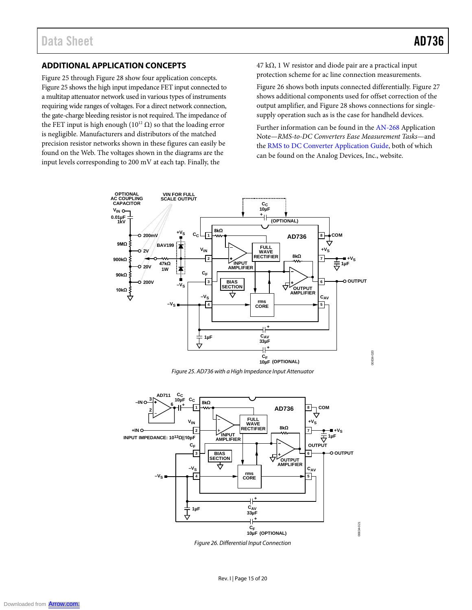#### **ADDITIONAL APPLICATION CONCEPTS**

Figure 25 through Figure 28 show four application concepts. Figure 25 shows the high input impedance FET input connected to a multitap attenuator network used in various types of instruments requiring wide ranges of voltages. For a direct network connection, the gate-charge bleeding resistor is not required. The impedance of the FET input is high enough ( $10^{12}$  Ω) so that the loading error is negligible. Manufacturers and distributors of the matched precision resistor networks shown in these figures can easily be found on the Web. The voltages shown in the diagrams are the input levels corresponding to 200 mV at each tap. Finally, the

 $47 \text{ k}\Omega$ , 1 W resistor and diode pair are a practical input protection scheme for ac line connection measurements.

Figure 26 shows both inputs connected differentially. Figure 27 shows additional components used for offset correction of the output amplifier, and Figure 28 shows connections for singlesupply operation such as is the case for handheld devices.

Further information can be found in the AN-268 Application Note—*RMS-to-DC Converters Ease Measurement Tasks*—and the RMS to DC Converter Application Guide, both of which can be found on the Analog Devices, Inc., website.

00834-020

0834-020



*Figure 25. AD736 with a High Impedance Input Attenuator*



*Figure 26. Differential Input Connection*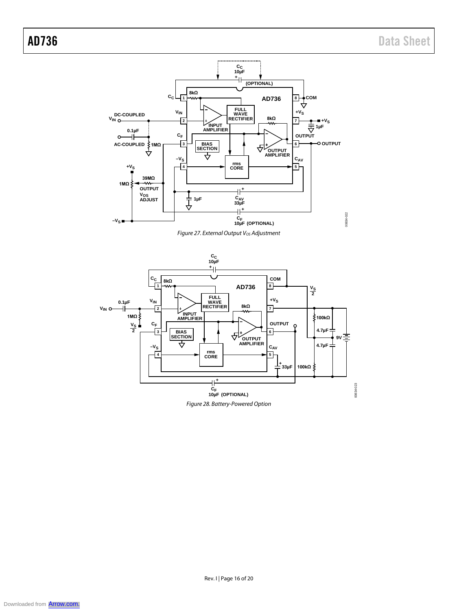



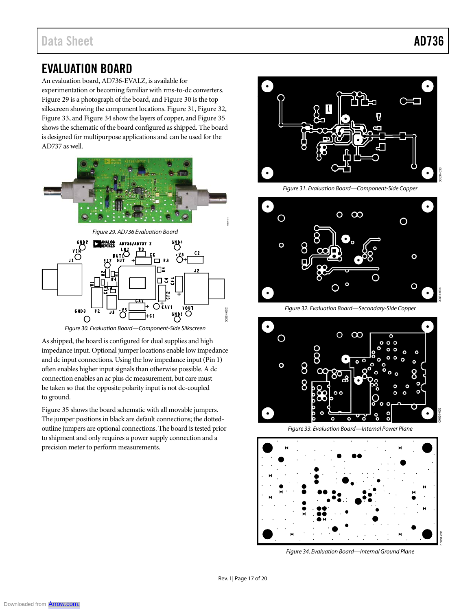00834-035

## EVALUATION BOARD

An evaluation board, AD736-EVALZ, is available for experimentation or becoming familiar with rms-to-dc converters. Figure 29 is a photograph of the board, and Figure 30 is the top silkscreen showing the component locations. Figure 31, Figure 32, Figure 33, and Figure 34 show the layers of copper, and Figure 35 shows the schematic of the board configured as shipped. The board is designed for multipurpose applications and can be used for the AD737 as well.



*Figure 30. Evaluation Board—Component-Side Silkscreen*

As shipped, the board is configured for dual supplies and high impedance input. Optional jumper locations enable low impedance and dc input connections. Using the low impedance input (Pin 1) often enables higher input signals than otherwise possible. A dc connection enables an ac plus dc measurement, but care must be taken so that the opposite polarity input is not dc-coupled to ground.

Figure 35 shows the board schematic with all movable jumpers. The jumper positions in black are default connections; the dottedoutline jumpers are optional connections. The board is tested prior to shipment and only requires a power supply connection and a precision meter to perform measurements.



*Figure 31. Evaluation Board—Component-Side Copper*



*Figure 32. Evaluation Board—Secondary-Side Copper*



*Figure 33. Evaluation Board—Internal Power Plane*



*Figure 34. Evaluation Board—Internal Ground Plane*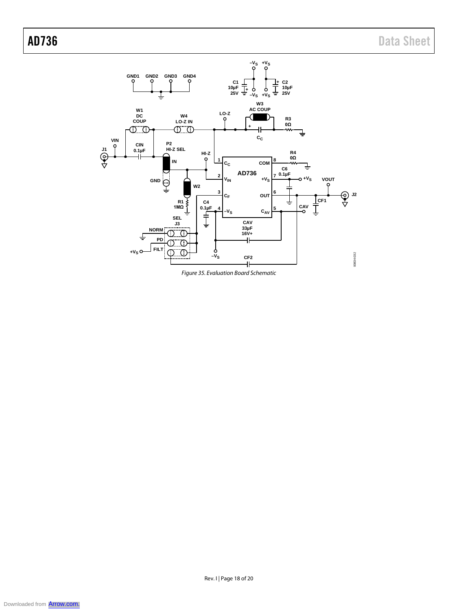

*Figure 35. Evaluation Board Schematic*

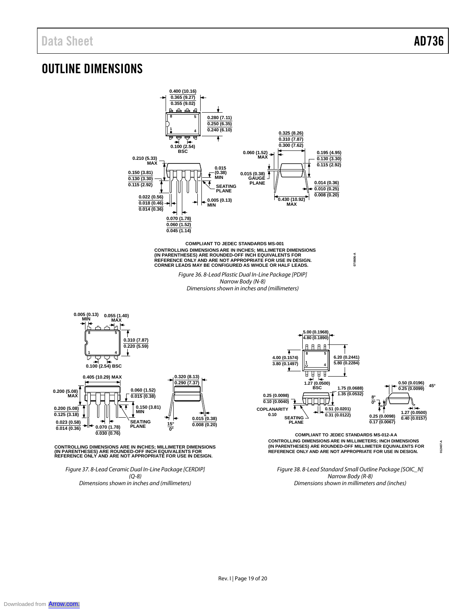**012407-A**

## OUTLINE DIMENSIONS



*Dimensions shown in inches and (millimeters)*



**0.200 (5.08) MAX**